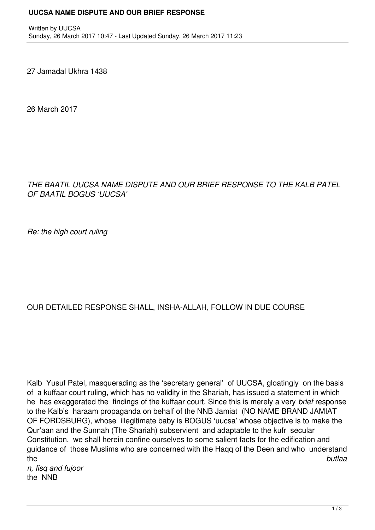## **UUCSA NAME DISPUTE AND OUR BRIEF RESPONSE**

27 Jamadal Ukhra 1438

26 March 2017

## *THE BAATIL UUCSA NAME DISPUTE AND OUR BRIEF RESPONSE TO THE KALB PATEL OF BAATIL BOGUS 'UUCSA'*

*Re: the high court ruling*

## OUR DETAILED RESPONSE SHALL, INSHA-ALLAH, FOLLOW IN DUE COURSE

Kalb Yusuf Patel, masquerading as the 'secretary general' of UUCSA, gloatingly on the basis of a kuffaar court ruling, which has no validity in the Shariah, has issued a statement in which he has exaggerated the findings of the kuffaar court. Since this is merely a very *brief* response to the Kalb's haraam propaganda on behalf of the NNB Jamiat (NO NAME BRAND JAMIAT OF FORDSBURG), whose illegitimate baby is BOGUS 'uucsa' whose objective is to make the Qur'aan and the Sunnah (The Shariah) subservient and adaptable to the kufr secular Constitution, we shall herein confine ourselves to some salient facts for the edification and guidance of those Muslims who are concerned with the Haqq of the Deen and who understand the *butlaa*

*n, fisq and fujoor*  the NNB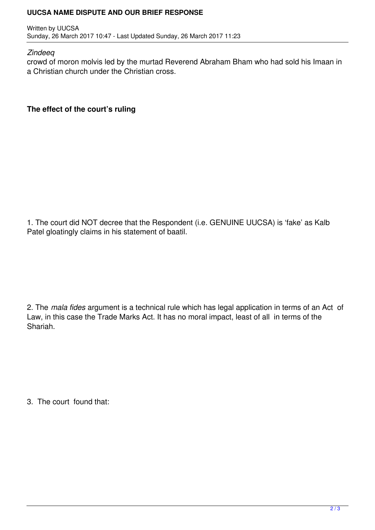## **UUCSA NAME DISPUTE AND OUR BRIEF RESPONSE**

Written by UUCSA Sunday, 26 March 2017 10:47 - Last Updated Sunday, 26 March 2017 11:23

*Zindeeq* 

crowd of moron molvis led by the murtad Reverend Abraham Bham who had sold his Imaan in a Christian church under the Christian cross.

**The effect of the court's ruling**

1. The court did NOT decree that the Respondent (i.e. GENUINE UUCSA) is 'fake' as Kalb Patel gloatingly claims in his statement of baatil.

2. The *mala fides* argument is a technical rule which has legal application in terms of an Act of Law, in this case the Trade Marks Act. It has no moral impact, least of all in terms of the Shariah.

3. The court found that: